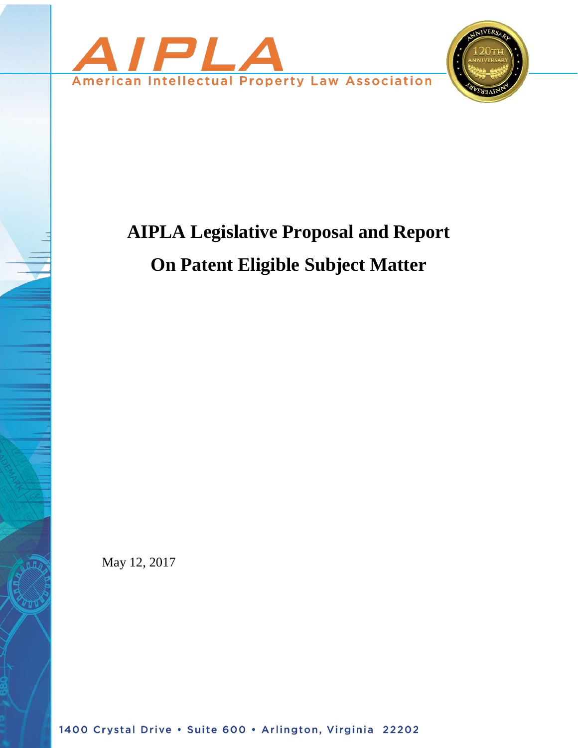

# **AIPLA Legislative Proposal and Report On Patent Eligible Subject Matter**

May 12, 2017

1400 Crystal Drive . Suite 600 . Arlington, Virginia 22202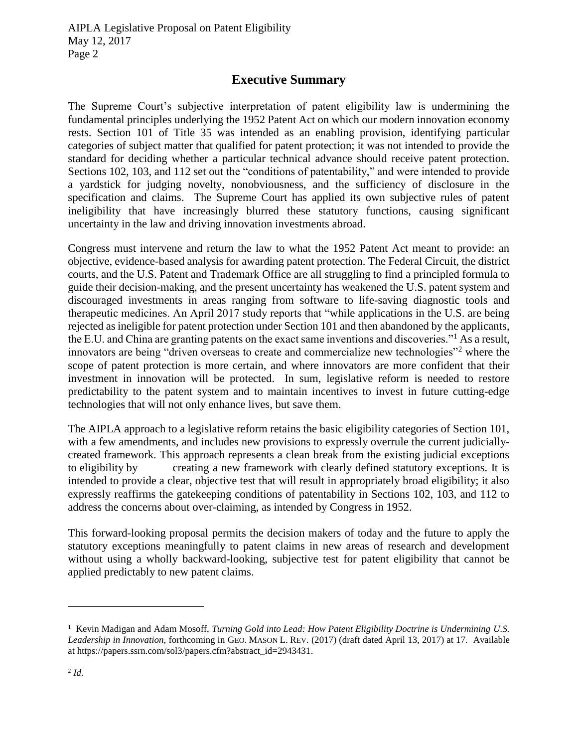## **Executive Summary**

The Supreme Court's subjective interpretation of patent eligibility law is undermining the fundamental principles underlying the 1952 Patent Act on which our modern innovation economy rests. Section 101 of Title 35 was intended as an enabling provision, identifying particular categories of subject matter that qualified for patent protection; it was not intended to provide the standard for deciding whether a particular technical advance should receive patent protection. Sections 102, 103, and 112 set out the "conditions of patentability," and were intended to provide a yardstick for judging novelty, nonobviousness, and the sufficiency of disclosure in the specification and claims. The Supreme Court has applied its own subjective rules of patent ineligibility that have increasingly blurred these statutory functions, causing significant uncertainty in the law and driving innovation investments abroad.

Congress must intervene and return the law to what the 1952 Patent Act meant to provide: an objective, evidence-based analysis for awarding patent protection. The Federal Circuit, the district courts, and the U.S. Patent and Trademark Office are all struggling to find a principled formula to guide their decision-making, and the present uncertainty has weakened the U.S. patent system and discouraged investments in areas ranging from software to life-saving diagnostic tools and therapeutic medicines. An April 2017 study reports that "while applications in the U.S. are being rejected as ineligible for patent protection under Section 101 and then abandoned by the applicants, the E.U. and China are granting patents on the exact same inventions and discoveries."<sup>1</sup> As a result, innovators are being "driven overseas to create and commercialize new technologies"<sup>2</sup> where the scope of patent protection is more certain, and where innovators are more confident that their investment in innovation will be protected. In sum, legislative reform is needed to restore predictability to the patent system and to maintain incentives to invest in future cutting-edge technologies that will not only enhance lives, but save them.

The AIPLA approach to a legislative reform retains the basic eligibility categories of Section 101, with a few amendments, and includes new provisions to expressly overrule the current judiciallycreated framework. This approach represents a clean break from the existing judicial exceptions to eligibility by creating a new framework with clearly defined statutory exceptions. It is intended to provide a clear, objective test that will result in appropriately broad eligibility; it also expressly reaffirms the gatekeeping conditions of patentability in Sections 102, 103, and 112 to address the concerns about over-claiming, as intended by Congress in 1952.

This forward-looking proposal permits the decision makers of today and the future to apply the statutory exceptions meaningfully to patent claims in new areas of research and development without using a wholly backward-looking, subjective test for patent eligibility that cannot be applied predictably to new patent claims.

<sup>&</sup>lt;sup>1</sup> Kevin Madigan and Adam Mosoff, *Turning Gold into Lead: How Patent Eligibility Doctrine is Undermining U.S. Leadership in Innovation*, forthcoming in GEO. MASON L. REV. (2017) (draft dated April 13, 2017) at 17. Available at https://papers.ssrn.com/sol3/papers.cfm?abstract\_id=2943431.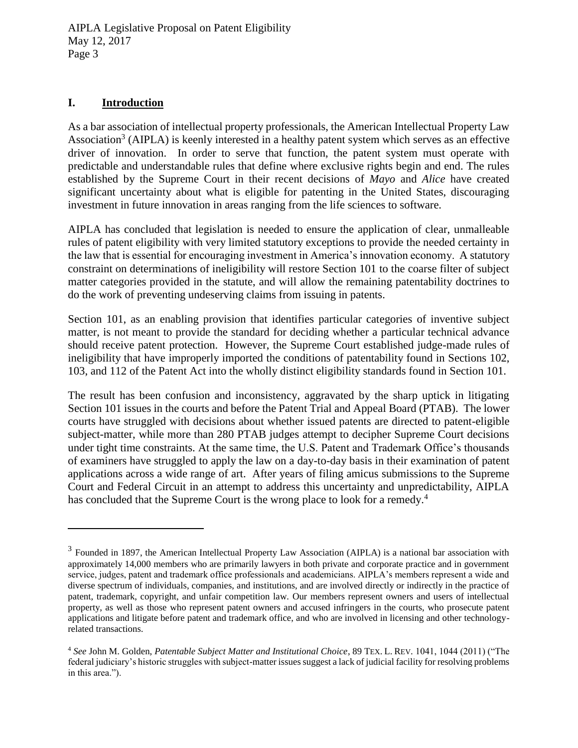#### **I. Introduction**

 $\overline{a}$ 

As a bar association of intellectual property professionals, the American Intellectual Property Law Association<sup>3</sup> (AIPLA) is keenly interested in a healthy patent system which serves as an effective driver of innovation. In order to serve that function, the patent system must operate with predictable and understandable rules that define where exclusive rights begin and end. The rules established by the Supreme Court in their recent decisions of *Mayo* and *Alice* have created significant uncertainty about what is eligible for patenting in the United States, discouraging investment in future innovation in areas ranging from the life sciences to software.

AIPLA has concluded that legislation is needed to ensure the application of clear, unmalleable rules of patent eligibility with very limited statutory exceptions to provide the needed certainty in the law that is essential for encouraging investment in America's innovation economy. A statutory constraint on determinations of ineligibility will restore Section 101 to the coarse filter of subject matter categories provided in the statute, and will allow the remaining patentability doctrines to do the work of preventing undeserving claims from issuing in patents.

Section 101, as an enabling provision that identifies particular categories of inventive subject matter, is not meant to provide the standard for deciding whether a particular technical advance should receive patent protection. However, the Supreme Court established judge-made rules of ineligibility that have improperly imported the conditions of patentability found in Sections 102, 103, and 112 of the Patent Act into the wholly distinct eligibility standards found in Section 101.

The result has been confusion and inconsistency, aggravated by the sharp uptick in litigating Section 101 issues in the courts and before the Patent Trial and Appeal Board (PTAB). The lower courts have struggled with decisions about whether issued patents are directed to patent-eligible subject-matter, while more than 280 PTAB judges attempt to decipher Supreme Court decisions under tight time constraints. At the same time, the U.S. Patent and Trademark Office's thousands of examiners have struggled to apply the law on a day-to-day basis in their examination of patent applications across a wide range of art. After years of filing amicus submissions to the Supreme Court and Federal Circuit in an attempt to address this uncertainty and unpredictability, AIPLA has concluded that the Supreme Court is the wrong place to look for a remedy.<sup>4</sup>

 $3$  Founded in 1897, the American Intellectual Property Law Association (AIPLA) is a national bar association with approximately 14,000 members who are primarily lawyers in both private and corporate practice and in government service, judges, patent and trademark office professionals and academicians. AIPLA's members represent a wide and diverse spectrum of individuals, companies, and institutions, and are involved directly or indirectly in the practice of patent, trademark, copyright, and unfair competition law. Our members represent owners and users of intellectual property, as well as those who represent patent owners and accused infringers in the courts, who prosecute patent applications and litigate before patent and trademark office, and who are involved in licensing and other technologyrelated transactions.

<sup>4</sup> *See* John M. Golden, *Patentable Subject Matter and Institutional Choice*, 89 TEX. L. REV. 1041, 1044 (2011) ("The federal judiciary's historic struggles with subject-matter issues suggest a lack of judicial facility for resolving problems in this area.").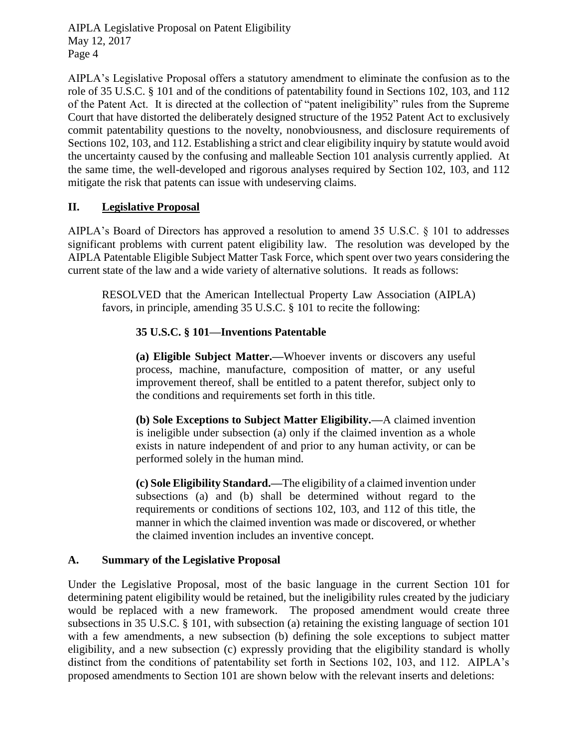AIPLA's Legislative Proposal offers a statutory amendment to eliminate the confusion as to the role of 35 U.S.C. § 101 and of the conditions of patentability found in Sections 102, 103, and 112 of the Patent Act. It is directed at the collection of "patent ineligibility" rules from the Supreme Court that have distorted the deliberately designed structure of the 1952 Patent Act to exclusively commit patentability questions to the novelty, nonobviousness, and disclosure requirements of Sections 102, 103, and 112. Establishing a strict and clear eligibility inquiry by statute would avoid the uncertainty caused by the confusing and malleable Section 101 analysis currently applied. At the same time, the well-developed and rigorous analyses required by Section 102, 103, and 112 mitigate the risk that patents can issue with undeserving claims.

## **II. Legislative Proposal**

AIPLA's Board of Directors has approved a resolution to amend 35 U.S.C. § 101 to addresses significant problems with current patent eligibility law. The resolution was developed by the AIPLA Patentable Eligible Subject Matter Task Force, which spent over two years considering the current state of the law and a wide variety of alternative solutions. It reads as follows:

RESOLVED that the American Intellectual Property Law Association (AIPLA) favors, in principle, amending 35 U.S.C. § 101 to recite the following:

## **35 U.S.C. § 101—Inventions Patentable**

**(a) Eligible Subject Matter.—**Whoever invents or discovers any useful process, machine, manufacture, composition of matter, or any useful improvement thereof, shall be entitled to a patent therefor, subject only to the conditions and requirements set forth in this title.

**(b) Sole Exceptions to Subject Matter Eligibility.—**A claimed invention is ineligible under subsection (a) only if the claimed invention as a whole exists in nature independent of and prior to any human activity, or can be performed solely in the human mind.

**(c) Sole Eligibility Standard.—**The eligibility of a claimed invention under subsections (a) and (b) shall be determined without regard to the requirements or conditions of sections 102, 103, and 112 of this title, the manner in which the claimed invention was made or discovered, or whether the claimed invention includes an inventive concept.

## **A. Summary of the Legislative Proposal**

Under the Legislative Proposal, most of the basic language in the current Section 101 for determining patent eligibility would be retained, but the ineligibility rules created by the judiciary would be replaced with a new framework. The proposed amendment would create three subsections in 35 U.S.C. § 101, with subsection (a) retaining the existing language of section 101 with a few amendments, a new subsection (b) defining the sole exceptions to subject matter eligibility, and a new subsection (c) expressly providing that the eligibility standard is wholly distinct from the conditions of patentability set forth in Sections 102, 103, and 112. AIPLA's proposed amendments to Section 101 are shown below with the relevant inserts and deletions: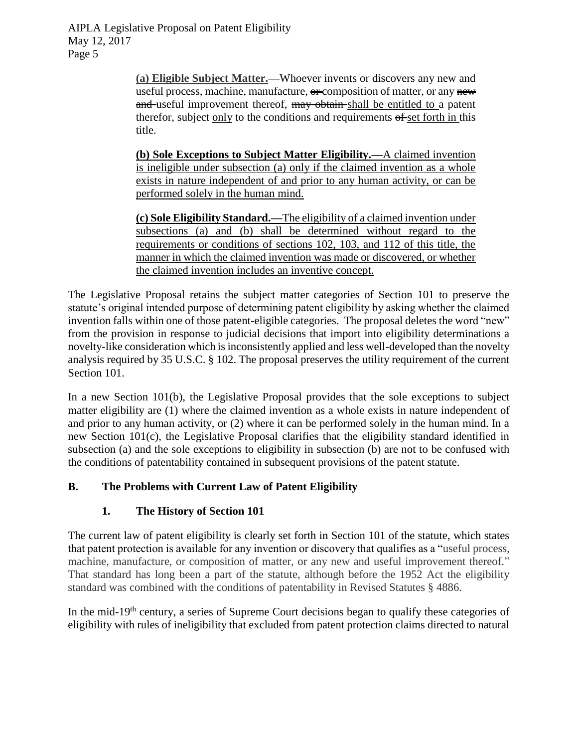> **(a) Eligible Subject Matter.—**Whoever invents or discovers any new and useful process, machine, manufacture,  $\theta$  composition of matter, or any new and useful improvement thereof, may obtain shall be entitled to a patent therefor, subject only to the conditions and requirements  $\theta$  set forth in this title.

> **(b) Sole Exceptions to Subject Matter Eligibility.—**A claimed invention is ineligible under subsection (a) only if the claimed invention as a whole exists in nature independent of and prior to any human activity, or can be performed solely in the human mind.

> **(c) Sole Eligibility Standard.—**The eligibility of a claimed invention under subsections (a) and (b) shall be determined without regard to the requirements or conditions of sections 102, 103, and 112 of this title, the manner in which the claimed invention was made or discovered, or whether the claimed invention includes an inventive concept.

The Legislative Proposal retains the subject matter categories of Section 101 to preserve the statute's original intended purpose of determining patent eligibility by asking whether the claimed invention falls within one of those patent-eligible categories. The proposal deletes the word "new" from the provision in response to judicial decisions that import into eligibility determinations a novelty-like consideration which is inconsistently applied and less well-developed than the novelty analysis required by 35 U.S.C. § 102. The proposal preserves the utility requirement of the current Section 101.

In a new Section 101(b), the Legislative Proposal provides that the sole exceptions to subject matter eligibility are (1) where the claimed invention as a whole exists in nature independent of and prior to any human activity, or (2) where it can be performed solely in the human mind. In a new Section 101(c), the Legislative Proposal clarifies that the eligibility standard identified in subsection (a) and the sole exceptions to eligibility in subsection (b) are not to be confused with the conditions of patentability contained in subsequent provisions of the patent statute.

## **B. The Problems with Current Law of Patent Eligibility**

## **1. The History of Section 101**

The current law of patent eligibility is clearly set forth in Section 101 of the statute, which states that patent protection is available for any invention or discovery that qualifies as a "useful process, machine, manufacture, or composition of matter, or any new and useful improvement thereof." That standard has long been a part of the statute, although before the 1952 Act the eligibility standard was combined with the conditions of patentability in Revised Statutes § 4886.

In the mid-19<sup>th</sup> century, a series of Supreme Court decisions began to qualify these categories of eligibility with rules of ineligibility that excluded from patent protection claims directed to natural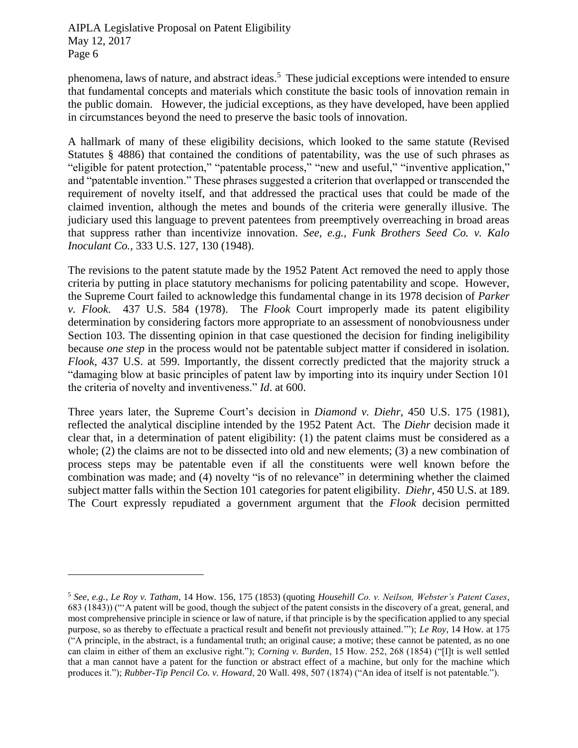$\overline{a}$ 

phenomena, laws of nature, and abstract ideas.<sup>5</sup> These judicial exceptions were intended to ensure that fundamental concepts and materials which constitute the basic tools of innovation remain in the public domain. However, the judicial exceptions, as they have developed, have been applied in circumstances beyond the need to preserve the basic tools of innovation.

A hallmark of many of these eligibility decisions, which looked to the same statute (Revised Statutes § 4886) that contained the conditions of patentability, was the use of such phrases as "eligible for patent protection," "patentable process," "new and useful," "inventive application," and "patentable invention." These phrases suggested a criterion that overlapped or transcended the requirement of novelty itself, and that addressed the practical uses that could be made of the claimed invention, although the metes and bounds of the criteria were generally illusive. The judiciary used this language to prevent patentees from preemptively overreaching in broad areas that suppress rather than incentivize innovation. *See, e.g., Funk Brothers Seed Co. v. Kalo Inoculant Co.,* 333 U.S. 127, 130 (1948).

The revisions to the patent statute made by the 1952 Patent Act removed the need to apply those criteria by putting in place statutory mechanisms for policing patentability and scope. However, the Supreme Court failed to acknowledge this fundamental change in its 1978 decision of *Parker v. Flook*. 437 U.S. 584 (1978). The *Flook* Court improperly made its patent eligibility determination by considering factors more appropriate to an assessment of nonobviousness under Section 103. The dissenting opinion in that case questioned the decision for finding ineligibility because *one step* in the process would not be patentable subject matter if considered in isolation. *Flook*, 437 U.S. at 599. Importantly, the dissent correctly predicted that the majority struck a "damaging blow at basic principles of patent law by importing into its inquiry under Section 101 the criteria of novelty and inventiveness." *Id*. at 600.

Three years later, the Supreme Court's decision in *Diamond v. Diehr*, 450 U.S. 175 (1981), reflected the analytical discipline intended by the 1952 Patent Act. The *Diehr* decision made it clear that, in a determination of patent eligibility: (1) the patent claims must be considered as a whole; (2) the claims are not to be dissected into old and new elements; (3) a new combination of process steps may be patentable even if all the constituents were well known before the combination was made; and (4) novelty "is of no relevance" in determining whether the claimed subject matter falls within the Section 101 categories for patent eligibility. *Diehr*, 450 U.S. at 189. The Court expressly repudiated a government argument that the *Flook* decision permitted

<sup>5</sup> *See, e.g.*, *Le Roy v. Tatham*, 14 How. 156, 175 (1853) (quoting *Househill Co. v. Neilson, Webster's Patent Cases*, 683 (1843)) ("'A patent will be good, though the subject of the patent consists in the discovery of a great, general, and most comprehensive principle in science or law of nature, if that principle is by the specification applied to any special purpose, so as thereby to effectuate a practical result and benefit not previously attained.'"); *Le Roy*, 14 How. at 175 ("A principle, in the abstract, is a fundamental truth; an original cause; a motive; these cannot be patented, as no one can claim in either of them an exclusive right."); *Corning v. Burden*, 15 How. 252, 268 (1854) ("[I]t is well settled that a man cannot have a patent for the function or abstract effect of a machine, but only for the machine which produces it."); *Rubber-Tip Pencil Co. v. Howard*, 20 Wall. 498, 507 (1874) ("An idea of itself is not patentable.").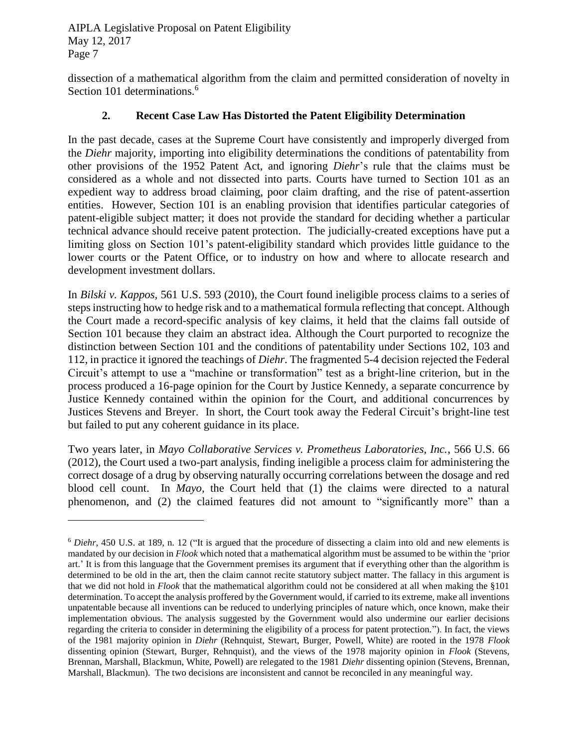$\overline{a}$ 

dissection of a mathematical algorithm from the claim and permitted consideration of novelty in Section 101 determinations.<sup>6</sup>

#### **2. Recent Case Law Has Distorted the Patent Eligibility Determination**

In the past decade, cases at the Supreme Court have consistently and improperly diverged from the *Diehr* majority, importing into eligibility determinations the conditions of patentability from other provisions of the 1952 Patent Act, and ignoring *Diehr*'s rule that the claims must be considered as a whole and not dissected into parts. Courts have turned to Section 101 as an expedient way to address broad claiming, poor claim drafting, and the rise of patent-assertion entities. However, Section 101 is an enabling provision that identifies particular categories of patent-eligible subject matter; it does not provide the standard for deciding whether a particular technical advance should receive patent protection. The judicially-created exceptions have put a limiting gloss on Section 101's patent-eligibility standard which provides little guidance to the lower courts or the Patent Office, or to industry on how and where to allocate research and development investment dollars.

In *Bilski v. Kappos,* 561 U.S. 593 (2010), the Court found ineligible process claims to a series of steps instructing how to hedge risk and to a mathematical formula reflecting that concept. Although the Court made a record-specific analysis of key claims, it held that the claims fall outside of Section 101 because they claim an abstract idea. Although the Court purported to recognize the distinction between Section 101 and the conditions of patentability under Sections 102, 103 and 112, in practice it ignored the teachings of *Diehr*. The fragmented 5-4 decision rejected the Federal Circuit's attempt to use a "machine or transformation" test as a bright-line criterion, but in the process produced a 16-page opinion for the Court by Justice Kennedy, a separate concurrence by Justice Kennedy contained within the opinion for the Court, and additional concurrences by Justices Stevens and Breyer. In short, the Court took away the Federal Circuit's bright-line test but failed to put any coherent guidance in its place.

Two years later, in *Mayo Collaborative Services v. Prometheus Laboratories, Inc.*, 566 U.S. 66 (2012), the Court used a two-part analysis, finding ineligible a process claim for administering the correct dosage of a drug by observing naturally occurring correlations between the dosage and red blood cell count. In *Mayo*, the Court held that (1) the claims were directed to a natural phenomenon, and (2) the claimed features did not amount to "significantly more" than a

<sup>6</sup> *Diehr*, 450 U.S. at 189, n. 12 ("It is argued that the procedure of dissecting a claim into old and new elements is mandated by our decision in *Flook* which noted that a mathematical algorithm must be assumed to be within the 'prior art.' It is from this language that the Government premises its argument that if everything other than the algorithm is determined to be old in the art, then the claim cannot recite statutory subject matter. The fallacy in this argument is that we did not hold in *Flook* that the mathematical algorithm could not be considered at all when making the §101 determination. To accept the analysis proffered by the Government would, if carried to its extreme, make all inventions unpatentable because all inventions can be reduced to underlying principles of nature which, once known, make their implementation obvious. The analysis suggested by the Government would also undermine our earlier decisions regarding the criteria to consider in determining the eligibility of a process for patent protection."). In fact, the views of the 1981 majority opinion in *Diehr* (Rehnquist, Stewart, Burger, Powell, White) are rooted in the 1978 *Flook* dissenting opinion (Stewart, Burger, Rehnquist), and the views of the 1978 majority opinion in *Flook* (Stevens, Brennan, Marshall, Blackmun, White, Powell) are relegated to the 1981 *Diehr* dissenting opinion (Stevens, Brennan, Marshall, Blackmun). The two decisions are inconsistent and cannot be reconciled in any meaningful way.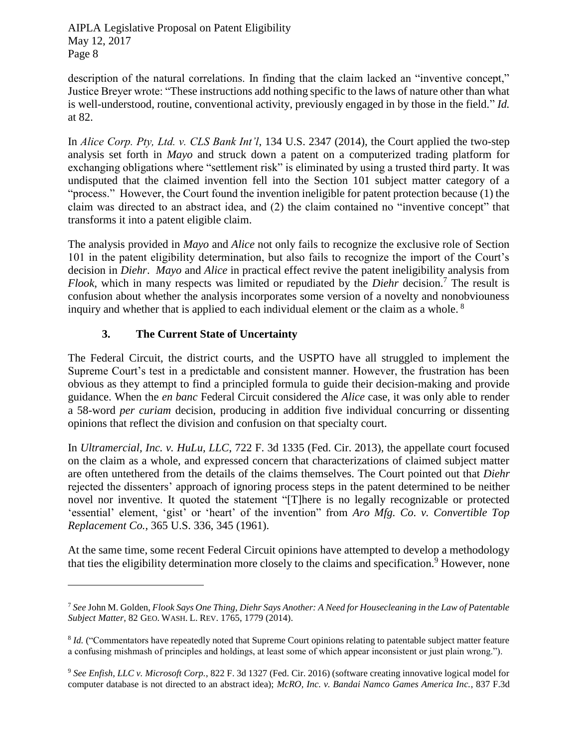description of the natural correlations. In finding that the claim lacked an "inventive concept," Justice Breyer wrote: "These instructions add nothing specific to the laws of nature other than what is well-understood, routine, conventional activity, previously engaged in by those in the field." *Id.* at 82.

In *Alice Corp. Pty, Ltd. v. CLS Bank Int'l*, 134 U.S. 2347 (2014), the Court applied the two-step analysis set forth in *Mayo* and struck down a patent on a computerized trading platform for exchanging obligations where "settlement risk" is eliminated by using a trusted third party. It was undisputed that the claimed invention fell into the Section 101 subject matter category of a "process." However, the Court found the invention ineligible for patent protection because (1) the claim was directed to an abstract idea, and (2) the claim contained no "inventive concept" that transforms it into a patent eligible claim.

The analysis provided in *Mayo* and *Alice* not only fails to recognize the exclusive role of Section 101 in the patent eligibility determination, but also fails to recognize the import of the Court's decision in *Diehr*. *Mayo* and *Alice* in practical effect revive the patent ineligibility analysis from *Flook*, which in many respects was limited or repudiated by the *Diehr* decision.<sup>7</sup> The result is confusion about whether the analysis incorporates some version of a novelty and nonobviouness inquiry and whether that is applied to each individual element or the claim as a whole. <sup>8</sup>

## **3. The Current State of Uncertainty**

 $\overline{a}$ 

The Federal Circuit, the district courts, and the USPTO have all struggled to implement the Supreme Court's test in a predictable and consistent manner. However, the frustration has been obvious as they attempt to find a principled formula to guide their decision-making and provide guidance. When the *en banc* Federal Circuit considered the *Alice* case, it was only able to render a 58-word *per curiam* decision, producing in addition five individual concurring or dissenting opinions that reflect the division and confusion on that specialty court.

In *Ultramercial, Inc. v. HuLu, LLC*, 722 F. 3d 1335 (Fed. Cir. 2013), the appellate court focused on the claim as a whole, and expressed concern that characterizations of claimed subject matter are often untethered from the details of the claims themselves. The Court pointed out that *Diehr* rejected the dissenters' approach of ignoring process steps in the patent determined to be neither novel nor inventive. It quoted the statement "[T]here is no legally recognizable or protected 'essential' element, 'gist' or 'heart' of the invention" from *Aro Mfg. Co. v. Convertible Top Replacement Co.*, 365 U.S. 336, 345 (1961).

At the same time, some recent Federal Circuit opinions have attempted to develop a methodology that ties the eligibility determination more closely to the claims and specification.<sup>9</sup> However, none

<sup>7</sup> *See* John M. Golden, *Flook Says One Thing, Diehr Says Another: A Need for Housecleaning in the Law of Patentable Subject Matter*, 82 GEO. WASH. L. REV. 1765, 1779 (2014).

<sup>&</sup>lt;sup>8</sup> *Id.* ("Commentators have repeatedly noted that Supreme Court opinions relating to patentable subject matter feature a confusing mishmash of principles and holdings, at least some of which appear inconsistent or just plain wrong.").

<sup>9</sup> *See Enfish, LLC v. Microsoft Corp.*, 822 F. 3d 1327 (Fed. Cir. 2016) (software creating innovative logical model for computer database is not directed to an abstract idea); *McRO, Inc. v. Bandai Namco Games America Inc.*, 837 F.3d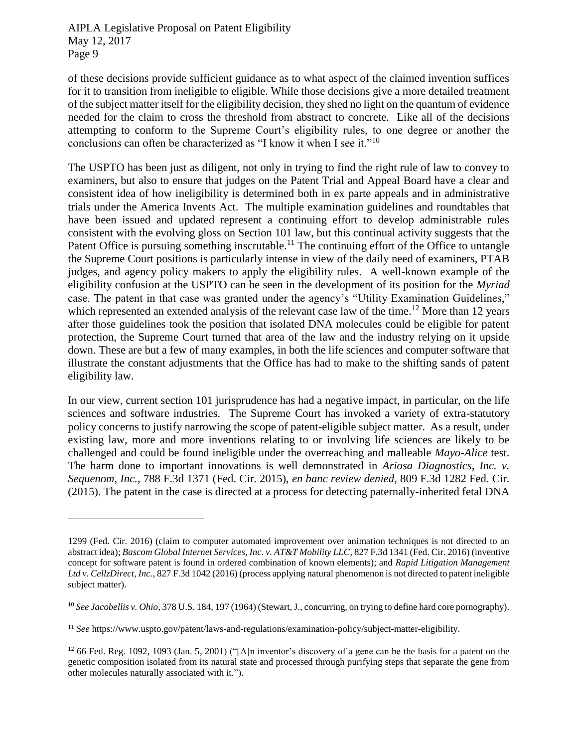$\overline{a}$ 

of these decisions provide sufficient guidance as to what aspect of the claimed invention suffices for it to transition from ineligible to eligible. While those decisions give a more detailed treatment of the subject matter itself for the eligibility decision, they shed no light on the quantum of evidence needed for the claim to cross the threshold from abstract to concrete. Like all of the decisions attempting to conform to the Supreme Court's eligibility rules, to one degree or another the conclusions can often be characterized as "I know it when I see it."<sup>10</sup>

The USPTO has been just as diligent, not only in trying to find the right rule of law to convey to examiners, but also to ensure that judges on the Patent Trial and Appeal Board have a clear and consistent idea of how ineligibility is determined both in ex parte appeals and in administrative trials under the America Invents Act. The multiple examination guidelines and roundtables that have been issued and updated represent a continuing effort to develop administrable rules consistent with the evolving gloss on Section 101 law, but this continual activity suggests that the Patent Office is pursuing something inscrutable.<sup>11</sup> The continuing effort of the Office to untangle the Supreme Court positions is particularly intense in view of the daily need of examiners, PTAB judges, and agency policy makers to apply the eligibility rules. A well-known example of the eligibility confusion at the USPTO can be seen in the development of its position for the *Myriad* case. The patent in that case was granted under the agency's "Utility Examination Guidelines," which represented an extended analysis of the relevant case law of the time.<sup>12</sup> More than 12 years after those guidelines took the position that isolated DNA molecules could be eligible for patent protection, the Supreme Court turned that area of the law and the industry relying on it upside down. These are but a few of many examples, in both the life sciences and computer software that illustrate the constant adjustments that the Office has had to make to the shifting sands of patent eligibility law.

In our view, current section 101 jurisprudence has had a negative impact, in particular, on the life sciences and software industries. The Supreme Court has invoked a variety of extra-statutory policy concerns to justify narrowing the scope of patent-eligible subject matter. As a result, under existing law, more and more inventions relating to or involving life sciences are likely to be challenged and could be found ineligible under the overreaching and malleable *Mayo-Alice* test. The harm done to important innovations is well demonstrated in *Ariosa Diagnostics, Inc. v. Sequenom, Inc.*, 788 F.3d 1371 (Fed. Cir. 2015), *en banc review denied*, 809 F.3d 1282 Fed. Cir. (2015). The patent in the case is directed at a process for detecting paternally-inherited fetal DNA

<sup>1299 (</sup>Fed. Cir. 2016) (claim to computer automated improvement over animation techniques is not directed to an abstract idea); *Bascom Global Internet Services, Inc. v. AT&T Mobility LLC*, 827 F.3d 1341 (Fed. Cir. 2016) (inventive concept for software patent is found in ordered combination of known elements); and *Rapid Litigation Management Ltd v. CellzDirect, Inc.*, 827 F.3d 1042 (2016) (process applying natural phenomenon is not directed to patent ineligible subject matter).

<sup>10</sup> *See Jacobellis v. Ohio*, 378 U.S. 184, 197 (1964) (Stewart, J., concurring, on trying to define hard core pornography).

<sup>11</sup> *See* https://www.uspto.gov/patent/laws-and-regulations/examination-policy/subject-matter-eligibility.

 $12$  66 Fed. Reg. 1092, 1093 (Jan. 5, 2001) ("[A]n inventor's discovery of a gene can be the basis for a patent on the genetic composition isolated from its natural state and processed through purifying steps that separate the gene from other molecules naturally associated with it.").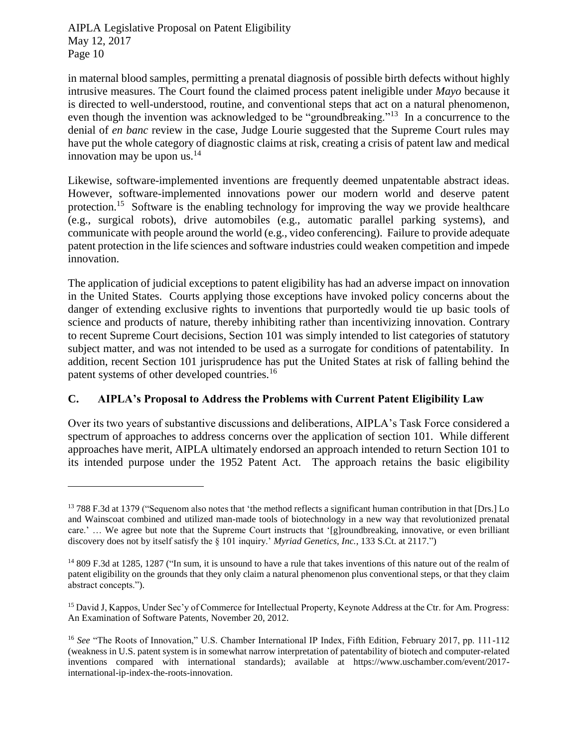$\overline{a}$ 

in maternal blood samples, permitting a prenatal diagnosis of possible birth defects without highly intrusive measures. The Court found the claimed process patent ineligible under *Mayo* because it is directed to well-understood, routine, and conventional steps that act on a natural phenomenon, even though the invention was acknowledged to be "groundbreaking."<sup>13</sup> In a concurrence to the denial of *en banc* review in the case, Judge Lourie suggested that the Supreme Court rules may have put the whole category of diagnostic claims at risk, creating a crisis of patent law and medical innovation may be upon us. $^{14}$ 

Likewise, software-implemented inventions are frequently deemed unpatentable abstract ideas. However, software-implemented innovations power our modern world and deserve patent protection.<sup>15</sup> Software is the enabling technology for improving the way we provide healthcare (e.g., surgical robots), drive automobiles (e.g., automatic parallel parking systems), and communicate with people around the world (e.g., video conferencing). Failure to provide adequate patent protection in the life sciences and software industries could weaken competition and impede innovation.

The application of judicial exceptions to patent eligibility has had an adverse impact on innovation in the United States. Courts applying those exceptions have invoked policy concerns about the danger of extending exclusive rights to inventions that purportedly would tie up basic tools of science and products of nature, thereby inhibiting rather than incentivizing innovation. Contrary to recent Supreme Court decisions, Section 101 was simply intended to list categories of statutory subject matter, and was not intended to be used as a surrogate for conditions of patentability. In addition, recent Section 101 jurisprudence has put the United States at risk of falling behind the patent systems of other developed countries.<sup>16</sup>

## **C. AIPLA's Proposal to Address the Problems with Current Patent Eligibility Law**

Over its two years of substantive discussions and deliberations, AIPLA's Task Force considered a spectrum of approaches to address concerns over the application of section 101. While different approaches have merit, AIPLA ultimately endorsed an approach intended to return Section 101 to its intended purpose under the 1952 Patent Act. The approach retains the basic eligibility

<sup>&</sup>lt;sup>13</sup> 788 F.3d at 1379 ("Sequenom also notes that 'the method reflects a significant human contribution in that [Drs.] Lo and Wainscoat combined and utilized man-made tools of biotechnology in a new way that revolutionized prenatal care.' … We agree but note that the Supreme Court instructs that '[g]roundbreaking, innovative, or even brilliant discovery does not by itself satisfy the § 101 inquiry.' *Myriad Genetics, Inc.*, 133 S.Ct. at 2117.")

<sup>&</sup>lt;sup>14</sup> 809 F.3d at 1285, 1287 ("In sum, it is unsound to have a rule that takes inventions of this nature out of the realm of patent eligibility on the grounds that they only claim a natural phenomenon plus conventional steps, or that they claim abstract concepts.").

<sup>&</sup>lt;sup>15</sup> David J, Kappos, Under Sec'y of Commerce for Intellectual Property, Keynote Address at the Ctr. for Am. Progress: An Examination of Software Patents, November 20, 2012.

<sup>16</sup> *See* "The Roots of Innovation," U.S. Chamber International IP Index, Fifth Edition, February 2017, pp. 111-112 (weakness in U.S. patent system is in somewhat narrow interpretation of patentability of biotech and computer-related inventions compared with international standards); available at https://www.uschamber.com/event/2017 international-ip-index-the-roots-innovation.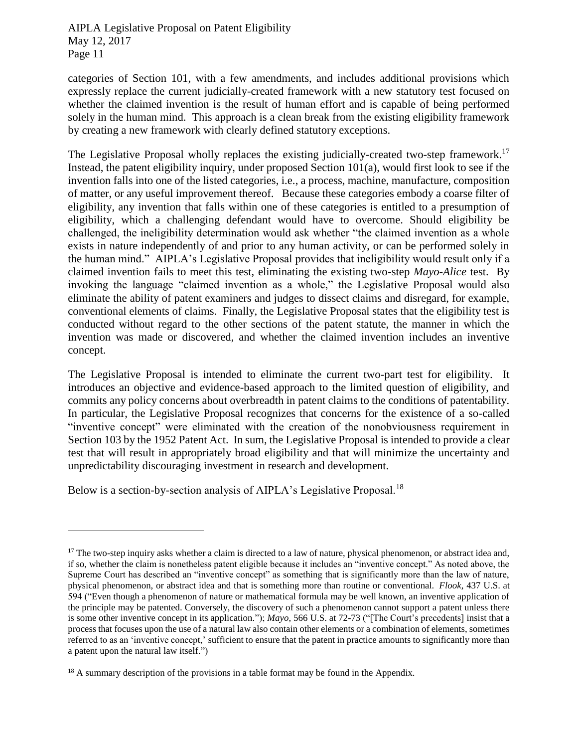categories of Section 101, with a few amendments, and includes additional provisions which expressly replace the current judicially-created framework with a new statutory test focused on whether the claimed invention is the result of human effort and is capable of being performed solely in the human mind. This approach is a clean break from the existing eligibility framework by creating a new framework with clearly defined statutory exceptions.

The Legislative Proposal wholly replaces the existing judicially-created two-step framework.<sup>17</sup> Instead, the patent eligibility inquiry, under proposed Section  $101(a)$ , would first look to see if the invention falls into one of the listed categories, i.e., a process, machine, manufacture, composition of matter, or any useful improvement thereof. Because these categories embody a coarse filter of eligibility, any invention that falls within one of these categories is entitled to a presumption of eligibility, which a challenging defendant would have to overcome. Should eligibility be challenged, the ineligibility determination would ask whether "the claimed invention as a whole exists in nature independently of and prior to any human activity, or can be performed solely in the human mind." AIPLA's Legislative Proposal provides that ineligibility would result only if a claimed invention fails to meet this test, eliminating the existing two-step *Mayo-Alice* test. By invoking the language "claimed invention as a whole," the Legislative Proposal would also eliminate the ability of patent examiners and judges to dissect claims and disregard, for example, conventional elements of claims. Finally, the Legislative Proposal states that the eligibility test is conducted without regard to the other sections of the patent statute, the manner in which the invention was made or discovered, and whether the claimed invention includes an inventive concept.

The Legislative Proposal is intended to eliminate the current two-part test for eligibility. It introduces an objective and evidence-based approach to the limited question of eligibility, and commits any policy concerns about overbreadth in patent claims to the conditions of patentability. In particular, the Legislative Proposal recognizes that concerns for the existence of a so-called "inventive concept" were eliminated with the creation of the nonobviousness requirement in Section 103 by the 1952 Patent Act. In sum, the Legislative Proposal is intended to provide a clear test that will result in appropriately broad eligibility and that will minimize the uncertainty and unpredictability discouraging investment in research and development.

Below is a section-by-section analysis of AIPLA's Legislative Proposal.<sup>18</sup>

 $17$  The two-step inquiry asks whether a claim is directed to a law of nature, physical phenomenon, or abstract idea and, if so, whether the claim is nonetheless patent eligible because it includes an "inventive concept." As noted above, the Supreme Court has described an "inventive concept" as something that is significantly more than the law of nature, physical phenomenon, or abstract idea and that is something more than routine or conventional. *Flook*, 437 U.S. at 594 ("Even though a phenomenon of nature or mathematical formula may be well known, an inventive application of the principle may be patented. Conversely, the discovery of such a phenomenon cannot support a patent unless there is some other inventive concept in its application."); *Mayo*, 566 U.S. at 72-73 ("[The Court's precedents] insist that a process that focuses upon the use of a natural law also contain other elements or a combination of elements, sometimes referred to as an 'inventive concept,' sufficient to ensure that the patent in practice amounts to significantly more than a patent upon the natural law itself.")

 $18$  A summary description of the provisions in a table format may be found in the Appendix.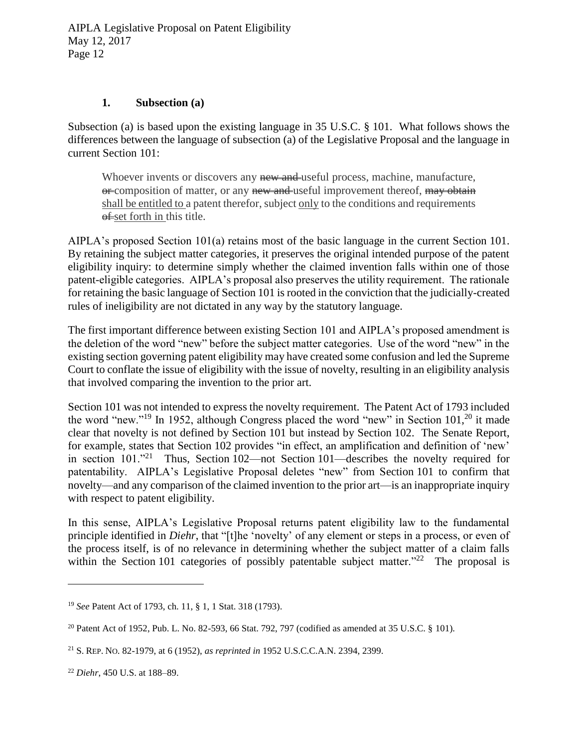#### **1. Subsection (a)**

Subsection (a) is based upon the existing language in 35 U.S.C. § 101. What follows shows the differences between the language of subsection (a) of the Legislative Proposal and the language in current Section 101:

Whoever invents or discovers any new and useful process, machine, manufacture, or composition of matter, or any new and useful improvement thereof, may obtain shall be entitled to a patent therefor, subject only to the conditions and requirements  $\theta$  set forth in this title.

AIPLA's proposed Section 101(a) retains most of the basic language in the current Section 101. By retaining the subject matter categories, it preserves the original intended purpose of the patent eligibility inquiry: to determine simply whether the claimed invention falls within one of those patent-eligible categories. AIPLA's proposal also preserves the utility requirement. The rationale for retaining the basic language of Section 101 is rooted in the conviction that the judicially-created rules of ineligibility are not dictated in any way by the statutory language.

The first important difference between existing Section 101 and AIPLA's proposed amendment is the deletion of the word "new" before the subject matter categories. Use of the word "new" in the existing section governing patent eligibility may have created some confusion and led the Supreme Court to conflate the issue of eligibility with the issue of novelty, resulting in an eligibility analysis that involved comparing the invention to the prior art.

Section 101 was not intended to express the novelty requirement. The Patent Act of 1793 included the word "new."<sup>19</sup> In 1952, although Congress placed the word "new" in Section  $101<sup>20</sup>$  it made clear that novelty is not defined by Section 101 but instead by Section 102. The Senate Report, for example, states that Section 102 provides "in effect, an amplification and definition of 'new' in section 101.<sup>"21</sup> Thus, Section 102—not Section 101—describes the novelty required for patentability. AIPLA's Legislative Proposal deletes "new" from Section 101 to confirm that novelty—and any comparison of the claimed invention to the prior art—is an inappropriate inquiry with respect to patent eligibility.

In this sense, AIPLA's Legislative Proposal returns patent eligibility law to the fundamental principle identified in *Diehr*, that "[t]he 'novelty' of any element or steps in a process, or even of the process itself, is of no relevance in determining whether the subject matter of a claim falls within the Section 101 categories of possibly patentable subject matter. $22$  The proposal is

<sup>19</sup> *See* Patent Act of 1793, ch. 11, § 1, 1 Stat. 318 (1793).

<sup>&</sup>lt;sup>20</sup> Patent Act of 1952, Pub. L. No. 82-593, 66 Stat. 792, 797 (codified as amended at 35 U.S.C. § 101).

<sup>21</sup> S. REP. NO. 82-1979, at 6 (1952), *as reprinted in* 1952 U.S.C.C.A.N. 2394, 2399.

<sup>22</sup> *Diehr*, 450 U.S. at 188–89.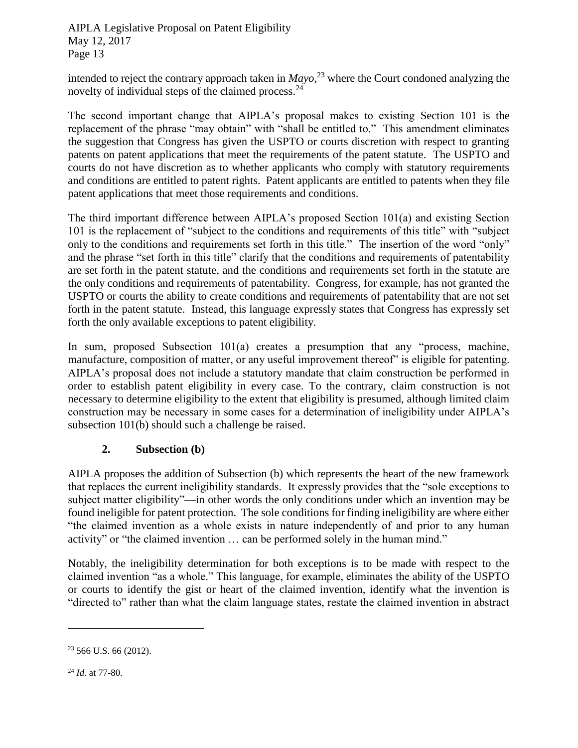intended to reject the contrary approach taken in *Mayo*, <sup>23</sup> where the Court condoned analyzing the novelty of individual steps of the claimed process.<sup>24</sup>

The second important change that AIPLA's proposal makes to existing Section 101 is the replacement of the phrase "may obtain" with "shall be entitled to." This amendment eliminates the suggestion that Congress has given the USPTO or courts discretion with respect to granting patents on patent applications that meet the requirements of the patent statute. The USPTO and courts do not have discretion as to whether applicants who comply with statutory requirements and conditions are entitled to patent rights. Patent applicants are entitled to patents when they file patent applications that meet those requirements and conditions.

The third important difference between AIPLA's proposed Section 101(a) and existing Section 101 is the replacement of "subject to the conditions and requirements of this title" with "subject only to the conditions and requirements set forth in this title." The insertion of the word "only" and the phrase "set forth in this title" clarify that the conditions and requirements of patentability are set forth in the patent statute, and the conditions and requirements set forth in the statute are the only conditions and requirements of patentability. Congress, for example, has not granted the USPTO or courts the ability to create conditions and requirements of patentability that are not set forth in the patent statute. Instead, this language expressly states that Congress has expressly set forth the only available exceptions to patent eligibility.

In sum, proposed Subsection 101(a) creates a presumption that any "process, machine, manufacture, composition of matter, or any useful improvement thereof" is eligible for patenting. AIPLA's proposal does not include a statutory mandate that claim construction be performed in order to establish patent eligibility in every case. To the contrary, claim construction is not necessary to determine eligibility to the extent that eligibility is presumed, although limited claim construction may be necessary in some cases for a determination of ineligibility under AIPLA's subsection 101(b) should such a challenge be raised.

## **2. Subsection (b)**

AIPLA proposes the addition of Subsection (b) which represents the heart of the new framework that replaces the current ineligibility standards. It expressly provides that the "sole exceptions to subject matter eligibility"—in other words the only conditions under which an invention may be found ineligible for patent protection. The sole conditions for finding ineligibility are where either "the claimed invention as a whole exists in nature independently of and prior to any human activity" or "the claimed invention … can be performed solely in the human mind."

Notably, the ineligibility determination for both exceptions is to be made with respect to the claimed invention "as a whole." This language, for example, eliminates the ability of the USPTO or courts to identify the gist or heart of the claimed invention, identify what the invention is "directed to" rather than what the claim language states, restate the claimed invention in abstract

 $23\,566$  U.S. 66 (2012).

<sup>24</sup> *Id.* at 77-80.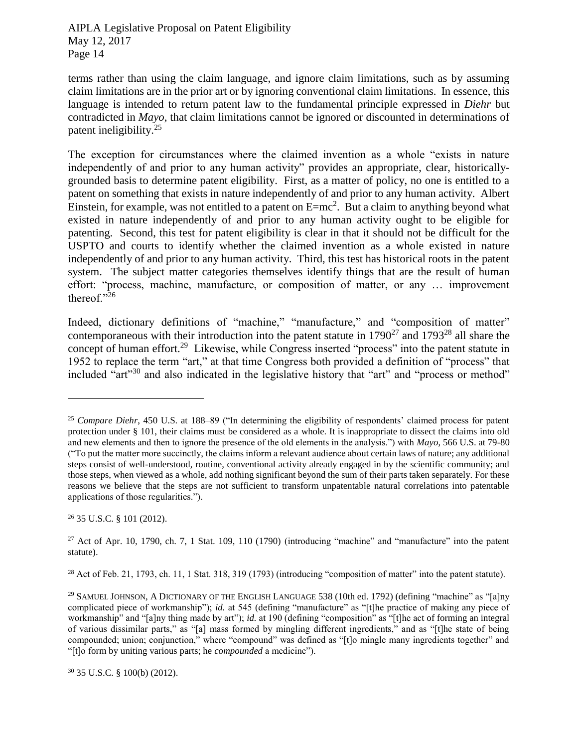terms rather than using the claim language, and ignore claim limitations, such as by assuming claim limitations are in the prior art or by ignoring conventional claim limitations. In essence, this language is intended to return patent law to the fundamental principle expressed in *Diehr* but contradicted in *Mayo*, that claim limitations cannot be ignored or discounted in determinations of patent ineligibility.<sup>25</sup>

The exception for circumstances where the claimed invention as a whole "exists in nature independently of and prior to any human activity" provides an appropriate, clear, historicallygrounded basis to determine patent eligibility. First, as a matter of policy, no one is entitled to a patent on something that exists in nature independently of and prior to any human activity. Albert Einstein, for example, was not entitled to a patent on  $E=mc^2$ . But a claim to anything beyond what existed in nature independently of and prior to any human activity ought to be eligible for patenting. Second, this test for patent eligibility is clear in that it should not be difficult for the USPTO and courts to identify whether the claimed invention as a whole existed in nature independently of and prior to any human activity. Third, this test has historical roots in the patent system. The subject matter categories themselves identify things that are the result of human effort: "process, machine, manufacture, or composition of matter, or any … improvement thereof."26

Indeed, dictionary definitions of "machine," "manufacture," and "composition of matter" contemporaneous with their introduction into the patent statute in  $1790^{27}$  and  $1793^{28}$  all share the concept of human effort.<sup>29</sup> Likewise, while Congress inserted "process" into the patent statute in 1952 to replace the term "art," at that time Congress both provided a definition of "process" that included "art"<sup>30</sup> and also indicated in the legislative history that "art" and "process or method"

<sup>26</sup> 35 U.S.C. § 101 (2012).

<sup>&</sup>lt;sup>25</sup> *Compare Diehr*, 450 U.S. at 188–89 ("In determining the eligibility of respondents' claimed process for patent protection under § 101, their claims must be considered as a whole. It is inappropriate to dissect the claims into old and new elements and then to ignore the presence of the old elements in the analysis.") with *Mayo*, 566 U.S. at 79-80 ("To put the matter more succinctly, the claims inform a relevant audience about certain laws of nature; any additional steps consist of well-understood, routine, conventional activity already engaged in by the scientific community; and those steps, when viewed as a whole, add nothing significant beyond the sum of their parts taken separately. For these reasons we believe that the steps are not sufficient to transform unpatentable natural correlations into patentable applications of those regularities.").

 $27$  Act of Apr. 10, 1790, ch. 7, 1 Stat. 109, 110 (1790) (introducing "machine" and "manufacture" into the patent statute).

 $^{28}$  Act of Feb. 21, 1793, ch. 11, 1 Stat. 318, 319 (1793) (introducing "composition of matter" into the patent statute).

<sup>&</sup>lt;sup>29</sup> SAMUEL JOHNSON, A DICTIONARY OF THE ENGLISH LANGUAGE 538 (10th ed. 1792) (defining "machine" as "[a]ny complicated piece of workmanship"); *id.* at 545 (defining "manufacture" as "[t]he practice of making any piece of workmanship" and "[a]ny thing made by art"); *id.* at 190 (defining "composition" as "[t]he act of forming an integral of various dissimilar parts," as "[a] mass formed by mingling different ingredients," and as "[t]he state of being compounded; union; conjunction," where "compound" was defined as "[t]o mingle many ingredients together" and "[t]o form by uniting various parts; he *compounded* a medicine").

<sup>30</sup> 35 U.S.C. § 100(b) (2012).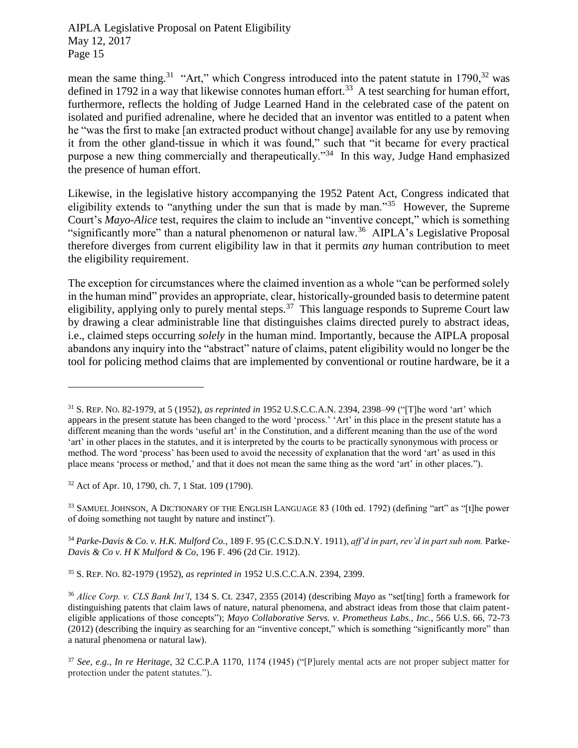mean the same thing.<sup>31</sup> "Art," which Congress introduced into the patent statute in  $1790$ ,<sup>32</sup> was defined in 1792 in a way that likewise connotes human effort.<sup>33</sup> A test searching for human effort, furthermore, reflects the holding of Judge Learned Hand in the celebrated case of the patent on isolated and purified adrenaline, where he decided that an inventor was entitled to a patent when he "was the first to make [an extracted product without change] available for any use by removing it from the other gland-tissue in which it was found," such that "it became for every practical purpose a new thing commercially and therapeutically."<sup>34</sup> In this way, Judge Hand emphasized the presence of human effort.

Likewise, in the legislative history accompanying the 1952 Patent Act, Congress indicated that eligibility extends to "anything under the sun that is made by man."<sup>35</sup> However, the Supreme Court's *Mayo*-*Alice* test, requires the claim to include an "inventive concept," which is something "significantly more" than a natural phenomenon or natural law.<sup>36</sup> AIPLA's Legislative Proposal therefore diverges from current eligibility law in that it permits *any* human contribution to meet the eligibility requirement.

The exception for circumstances where the claimed invention as a whole "can be performed solely in the human mind" provides an appropriate, clear, historically-grounded basis to determine patent eligibility, applying only to purely mental steps.<sup>37</sup> This language responds to Supreme Court law by drawing a clear administrable line that distinguishes claims directed purely to abstract ideas, i.e., claimed steps occurring *solely* in the human mind. Importantly, because the AIPLA proposal abandons any inquiry into the "abstract" nature of claims, patent eligibility would no longer be the tool for policing method claims that are implemented by conventional or routine hardware, be it a

<sup>32</sup> Act of Apr. 10, 1790, ch. 7, 1 Stat. 109 (1790).

 $\overline{a}$ 

<sup>33</sup> SAMUEL JOHNSON, A DICTIONARY OF THE ENGLISH LANGUAGE 83 (10th ed. 1792) (defining "art" as "[t]he power of doing something not taught by nature and instinct").

<sup>34</sup> *Parke-Davis & Co. v. H.K. Mulford Co.*, 189 F. 95 (C.C.S.D.N.Y. 1911), *aff'd in part*, *rev'd in part sub nom.* Parke-*Davis & Co v. H K Mulford & Co*, 196 F. 496 (2d Cir. 1912).

<sup>35</sup> S. REP. NO. 82-1979 (1952), *as reprinted in* 1952 U.S.C.C.A.N. 2394, 2399.

<sup>36</sup> *Alice Corp. v. CLS Bank Int'l*, 134 S. Ct. 2347, 2355 (2014) (describing *Mayo* as "set[ting] forth a framework for distinguishing patents that claim laws of nature, natural phenomena, and abstract ideas from those that claim patenteligible applications of those concepts"); *Mayo Collaborative Servs. v. Prometheus Labs., Inc.*, 566 U.S. 66, 72-73 (2012) (describing the inquiry as searching for an "inventive concept," which is something "significantly more" than a natural phenomena or natural law).

<sup>31</sup> S. REP. NO. 82-1979, at 5 (1952), *as reprinted in* 1952 U.S.C.C.A.N. 2394, 2398–99 ("[T]he word 'art' which appears in the present statute has been changed to the word 'process.' 'Art' in this place in the present statute has a different meaning than the words 'useful art' in the Constitution, and a different meaning than the use of the word 'art' in other places in the statutes, and it is interpreted by the courts to be practically synonymous with process or method. The word 'process' has been used to avoid the necessity of explanation that the word 'art' as used in this place means 'process or method,' and that it does not mean the same thing as the word 'art' in other places.").

<sup>37</sup> *See, e.g.*, *In re Heritage*, 32 C.C.P.A 1170, 1174 (1945) ("[P]urely mental acts are not proper subject matter for protection under the patent statutes.").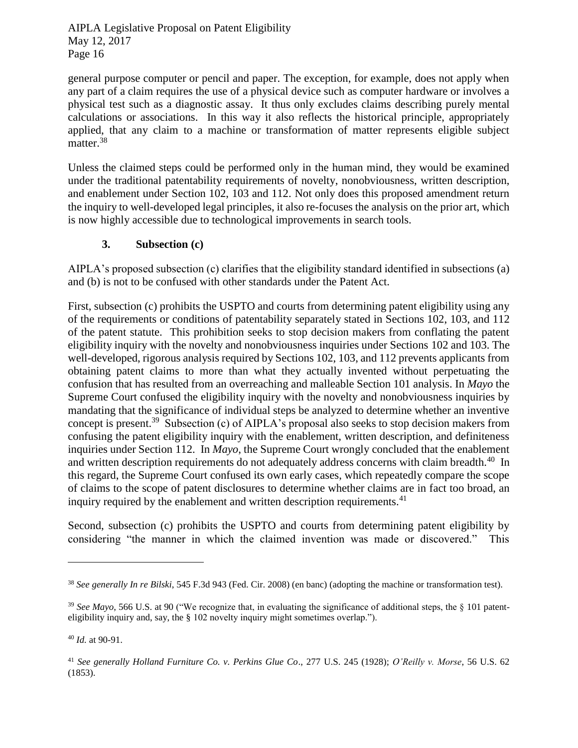general purpose computer or pencil and paper. The exception, for example, does not apply when any part of a claim requires the use of a physical device such as computer hardware or involves a physical test such as a diagnostic assay. It thus only excludes claims describing purely mental calculations or associations. In this way it also reflects the historical principle, appropriately applied, that any claim to a machine or transformation of matter represents eligible subject matter.<sup>38</sup>

Unless the claimed steps could be performed only in the human mind, they would be examined under the traditional patentability requirements of novelty, nonobviousness, written description, and enablement under Section 102, 103 and 112. Not only does this proposed amendment return the inquiry to well-developed legal principles, it also re-focuses the analysis on the prior art, which is now highly accessible due to technological improvements in search tools.

## **3. Subsection (c)**

AIPLA's proposed subsection (c) clarifies that the eligibility standard identified in subsections (a) and (b) is not to be confused with other standards under the Patent Act.

First, subsection (c) prohibits the USPTO and courts from determining patent eligibility using any of the requirements or conditions of patentability separately stated in Sections 102, 103, and 112 of the patent statute. This prohibition seeks to stop decision makers from conflating the patent eligibility inquiry with the novelty and nonobviousness inquiries under Sections 102 and 103. The well-developed, rigorous analysis required by Sections 102, 103, and 112 prevents applicants from obtaining patent claims to more than what they actually invented without perpetuating the confusion that has resulted from an overreaching and malleable Section 101 analysis. In *Mayo* the Supreme Court confused the eligibility inquiry with the novelty and nonobviousness inquiries by mandating that the significance of individual steps be analyzed to determine whether an inventive concept is present.<sup>39</sup> Subsection (c) of AIPLA's proposal also seeks to stop decision makers from confusing the patent eligibility inquiry with the enablement, written description, and definiteness inquiries under Section 112. In *Mayo*, the Supreme Court wrongly concluded that the enablement and written description requirements do not adequately address concerns with claim breadth.<sup>40</sup> In this regard, the Supreme Court confused its own early cases, which repeatedly compare the scope of claims to the scope of patent disclosures to determine whether claims are in fact too broad, an inquiry required by the enablement and written description requirements.<sup>41</sup>

Second, subsection (c) prohibits the USPTO and courts from determining patent eligibility by considering "the manner in which the claimed invention was made or discovered." This

<sup>38</sup> *See generally In re Bilski*, 545 F.3d 943 (Fed. Cir. 2008) (en banc) (adopting the machine or transformation test).

<sup>39</sup> *See Mayo*, 566 U.S. at 90 ("We recognize that, in evaluating the significance of additional steps, the § 101 patenteligibility inquiry and, say, the § 102 novelty inquiry might sometimes overlap.").

<sup>40</sup> *Id.* at 90-91.

<sup>41</sup> *See generally Holland Furniture Co. v. Perkins Glue Co*., 277 U.S. 245 (1928); *O'Reilly v. Morse*, 56 U.S. 62 (1853).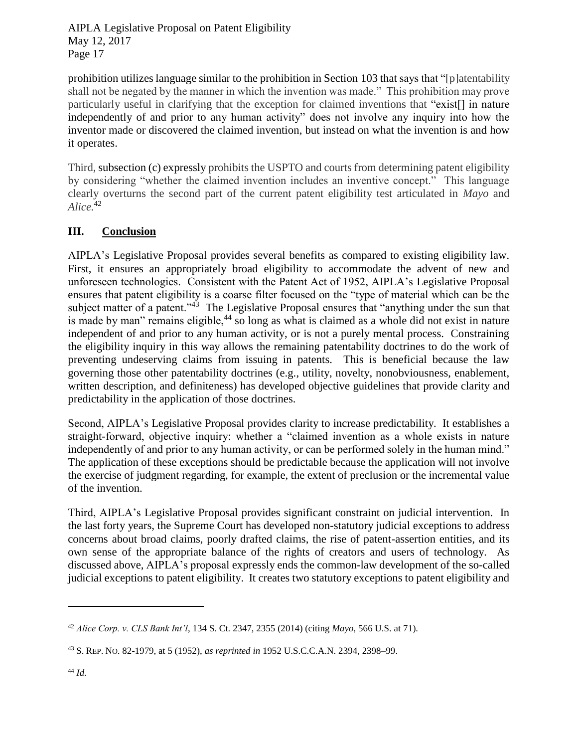prohibition utilizes language similar to the prohibition in Section 103 that says that "[p]atentability shall not be negated by the manner in which the invention was made." This prohibition may prove particularly useful in clarifying that the exception for claimed inventions that "exist[] in nature independently of and prior to any human activity" does not involve any inquiry into how the inventor made or discovered the claimed invention, but instead on what the invention is and how it operates.

Third, subsection (c) expressly prohibits the USPTO and courts from determining patent eligibility by considering "whether the claimed invention includes an inventive concept." This language clearly overturns the second part of the current patent eligibility test articulated in *Mayo* and *Alice.*<sup>42</sup>

## **III. Conclusion**

AIPLA's Legislative Proposal provides several benefits as compared to existing eligibility law. First, it ensures an appropriately broad eligibility to accommodate the advent of new and unforeseen technologies. Consistent with the Patent Act of 1952, AIPLA's Legislative Proposal ensures that patent eligibility is a coarse filter focused on the "type of material which can be the subject matter of a patent."<sup>43</sup> The Legislative Proposal ensures that "anything under the sun that is made by man" remains eligible,<sup>44</sup> so long as what is claimed as a whole did not exist in nature independent of and prior to any human activity, or is not a purely mental process. Constraining the eligibility inquiry in this way allows the remaining patentability doctrines to do the work of preventing undeserving claims from issuing in patents. This is beneficial because the law governing those other patentability doctrines (e.g., utility, novelty, nonobviousness, enablement, written description, and definiteness) has developed objective guidelines that provide clarity and predictability in the application of those doctrines.

Second, AIPLA's Legislative Proposal provides clarity to increase predictability. It establishes a straight-forward, objective inquiry: whether a "claimed invention as a whole exists in nature independently of and prior to any human activity, or can be performed solely in the human mind." The application of these exceptions should be predictable because the application will not involve the exercise of judgment regarding, for example, the extent of preclusion or the incremental value of the invention.

Third, AIPLA's Legislative Proposal provides significant constraint on judicial intervention. In the last forty years, the Supreme Court has developed non-statutory judicial exceptions to address concerns about broad claims, poorly drafted claims, the rise of patent-assertion entities, and its own sense of the appropriate balance of the rights of creators and users of technology. As discussed above, AIPLA's proposal expressly ends the common-law development of the so-called judicial exceptions to patent eligibility. It creates two statutory exceptions to patent eligibility and

<sup>42</sup> *Alice Corp. v. CLS Bank Int'l*, 134 S. Ct. 2347, 2355 (2014) (citing *Mayo*, 566 U.S. at 71).

<sup>43</sup> S. REP. NO. 82-1979, at 5 (1952), *as reprinted in* 1952 U.S.C.C.A.N. 2394, 2398–99.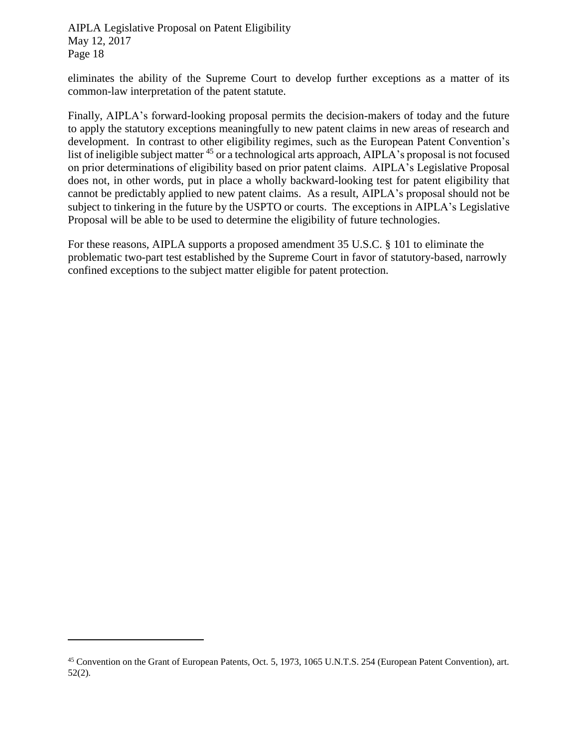eliminates the ability of the Supreme Court to develop further exceptions as a matter of its common-law interpretation of the patent statute.

Finally, AIPLA's forward-looking proposal permits the decision-makers of today and the future to apply the statutory exceptions meaningfully to new patent claims in new areas of research and development. In contrast to other eligibility regimes, such as the European Patent Convention's list of ineligible subject matter <sup>45</sup> or a technological arts approach, AIPLA's proposal is not focused on prior determinations of eligibility based on prior patent claims. AIPLA's Legislative Proposal does not, in other words, put in place a wholly backward-looking test for patent eligibility that cannot be predictably applied to new patent claims. As a result, AIPLA's proposal should not be subject to tinkering in the future by the USPTO or courts. The exceptions in AIPLA's Legislative Proposal will be able to be used to determine the eligibility of future technologies.

For these reasons, AIPLA supports a proposed amendment 35 U.S.C. § 101 to eliminate the problematic two-part test established by the Supreme Court in favor of statutory-based, narrowly confined exceptions to the subject matter eligible for patent protection.

<sup>45</sup> Convention on the Grant of European Patents, Oct. 5, 1973, 1065 U.N.T.S. 254 (European Patent Convention), art. 52(2).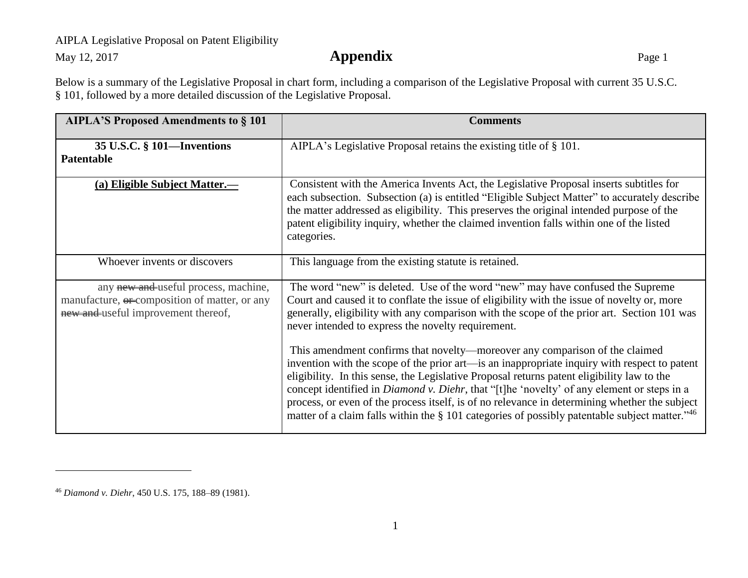## AIPLA Legislative Proposal on Patent Eligibility

May 12, 2017 **Appendix** Page 1

Below is a summary of the Legislative Proposal in chart form, including a comparison of the Legislative Proposal with current 35 U.S.C. § 101, followed by a more detailed discussion of the Legislative Proposal.

| <b>AIPLA'S Proposed Amendments to § 101</b>                                                                                  | <b>Comments</b>                                                                                                                                                                                                                                                                                                                                                                                                                                                                                                                                                                   |
|------------------------------------------------------------------------------------------------------------------------------|-----------------------------------------------------------------------------------------------------------------------------------------------------------------------------------------------------------------------------------------------------------------------------------------------------------------------------------------------------------------------------------------------------------------------------------------------------------------------------------------------------------------------------------------------------------------------------------|
| 35 U.S.C. § 101—Inventions<br><b>Patentable</b>                                                                              | AIPLA's Legislative Proposal retains the existing title of § 101.                                                                                                                                                                                                                                                                                                                                                                                                                                                                                                                 |
| (a) Eligible Subject Matter.—                                                                                                | Consistent with the America Invents Act, the Legislative Proposal inserts subtitles for<br>each subsection. Subsection (a) is entitled "Eligible Subject Matter" to accurately describe<br>the matter addressed as eligibility. This preserves the original intended purpose of the<br>patent eligibility inquiry, whether the claimed invention falls within one of the listed<br>categories.                                                                                                                                                                                    |
| Whoever invents or discovers                                                                                                 | This language from the existing statute is retained.                                                                                                                                                                                                                                                                                                                                                                                                                                                                                                                              |
| any new and useful process, machine,<br>manufacture, or composition of matter, or any<br>new and useful improvement thereof, | The word "new" is deleted. Use of the word "new" may have confused the Supreme<br>Court and caused it to conflate the issue of eligibility with the issue of novelty or, more<br>generally, eligibility with any comparison with the scope of the prior art. Section 101 was<br>never intended to express the novelty requirement.                                                                                                                                                                                                                                                |
|                                                                                                                              | This amendment confirms that novelty—moreover any comparison of the claimed<br>invention with the scope of the prior art—is an inappropriate inquiry with respect to patent<br>eligibility. In this sense, the Legislative Proposal returns patent eligibility law to the<br>concept identified in <i>Diamond v. Diehr</i> , that "[t]he 'novelty' of any element or steps in a<br>process, or even of the process itself, is of no relevance in determining whether the subject<br>matter of a claim falls within the § 101 categories of possibly patentable subject matter."46 |

<sup>46</sup> *Diamond v. Diehr*, 450 U.S. 175, 188–89 (1981).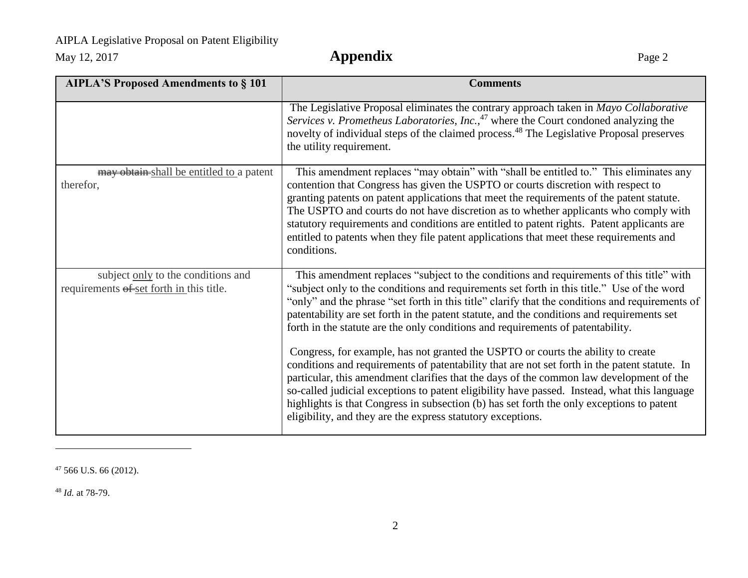## AIPLA Legislative Proposal on Patent Eligibility

May 12, 2017 **Appendix** Page 2

| <b>AIPLA'S Proposed Amendments to § 101</b>                                    | <b>Comments</b>                                                                                                                                                                                                                                                                                                                                                                                                                                                                                                                                                                                                                                                                                                                                                                                                                                                                                                                                                                                                       |
|--------------------------------------------------------------------------------|-----------------------------------------------------------------------------------------------------------------------------------------------------------------------------------------------------------------------------------------------------------------------------------------------------------------------------------------------------------------------------------------------------------------------------------------------------------------------------------------------------------------------------------------------------------------------------------------------------------------------------------------------------------------------------------------------------------------------------------------------------------------------------------------------------------------------------------------------------------------------------------------------------------------------------------------------------------------------------------------------------------------------|
|                                                                                | The Legislative Proposal eliminates the contrary approach taken in Mayo Collaborative<br>Services v. Prometheus Laboratories, Inc., $47$ where the Court condoned analyzing the<br>novelty of individual steps of the claimed process. <sup>48</sup> The Legislative Proposal preserves<br>the utility requirement.                                                                                                                                                                                                                                                                                                                                                                                                                                                                                                                                                                                                                                                                                                   |
| may obtain-shall be entitled to a patent<br>therefor,                          | This amendment replaces "may obtain" with "shall be entitled to." This eliminates any<br>contention that Congress has given the USPTO or courts discretion with respect to<br>granting patents on patent applications that meet the requirements of the patent statute.<br>The USPTO and courts do not have discretion as to whether applicants who comply with<br>statutory requirements and conditions are entitled to patent rights. Patent applicants are<br>entitled to patents when they file patent applications that meet these requirements and<br>conditions.                                                                                                                                                                                                                                                                                                                                                                                                                                               |
| subject only to the conditions and<br>requirements of set forth in this title. | This amendment replaces "subject to the conditions and requirements of this title" with<br>"subject only to the conditions and requirements set forth in this title." Use of the word<br>"only" and the phrase "set forth in this title" clarify that the conditions and requirements of<br>patentability are set forth in the patent statute, and the conditions and requirements set<br>forth in the statute are the only conditions and requirements of patentability.<br>Congress, for example, has not granted the USPTO or courts the ability to create<br>conditions and requirements of patentability that are not set forth in the patent statute. In<br>particular, this amendment clarifies that the days of the common law development of the<br>so-called judicial exceptions to patent eligibility have passed. Instead, what this language<br>highlights is that Congress in subsection (b) has set forth the only exceptions to patent<br>eligibility, and they are the express statutory exceptions. |

<sup>47</sup> 566 U.S. 66 (2012).

<sup>48</sup> *Id.* at 78-79.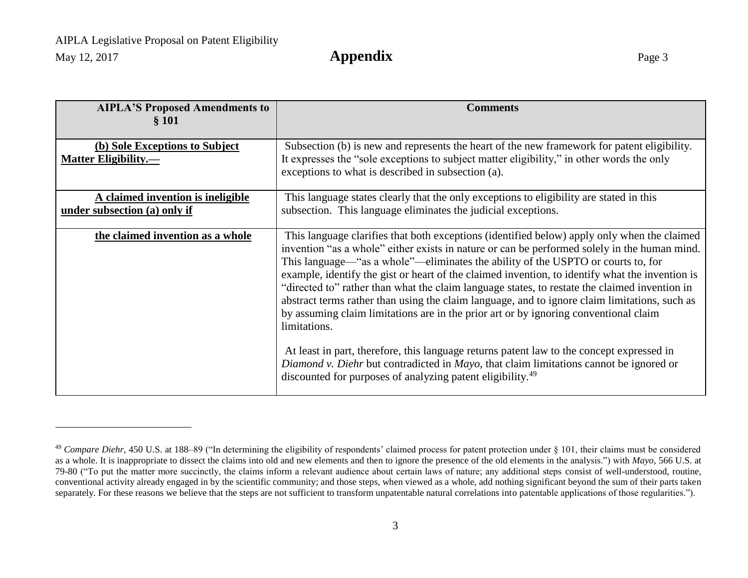| <b>AIPLA'S Proposed Amendments to</b><br>§ 101                    | <b>Comments</b>                                                                                                                                                                                                                                                                                                                                                                                                                                                                                                                                                                                                                                                                                                                                                                                                                                                                                                                                               |
|-------------------------------------------------------------------|---------------------------------------------------------------------------------------------------------------------------------------------------------------------------------------------------------------------------------------------------------------------------------------------------------------------------------------------------------------------------------------------------------------------------------------------------------------------------------------------------------------------------------------------------------------------------------------------------------------------------------------------------------------------------------------------------------------------------------------------------------------------------------------------------------------------------------------------------------------------------------------------------------------------------------------------------------------|
| (b) Sole Exceptions to Subject<br><b>Matter Eligibility.—</b>     | Subsection (b) is new and represents the heart of the new framework for patent eligibility.<br>It expresses the "sole exceptions to subject matter eligibility," in other words the only<br>exceptions to what is described in subsection (a).                                                                                                                                                                                                                                                                                                                                                                                                                                                                                                                                                                                                                                                                                                                |
| A claimed invention is ineligible<br>under subsection (a) only if | This language states clearly that the only exceptions to eligibility are stated in this<br>subsection. This language eliminates the judicial exceptions.                                                                                                                                                                                                                                                                                                                                                                                                                                                                                                                                                                                                                                                                                                                                                                                                      |
| the claimed invention as a whole                                  | This language clarifies that both exceptions (identified below) apply only when the claimed<br>invention "as a whole" either exists in nature or can be performed solely in the human mind.<br>This language—"as a whole"—eliminates the ability of the USPTO or courts to, for<br>example, identify the gist or heart of the claimed invention, to identify what the invention is<br>"directed to" rather than what the claim language states, to restate the claimed invention in<br>abstract terms rather than using the claim language, and to ignore claim limitations, such as<br>by assuming claim limitations are in the prior art or by ignoring conventional claim<br>limitations.<br>At least in part, therefore, this language returns patent law to the concept expressed in<br>Diamond v. Diehr but contradicted in Mayo, that claim limitations cannot be ignored or<br>discounted for purposes of analyzing patent eligibility. <sup>49</sup> |

<sup>&</sup>lt;sup>49</sup> Compare Diehr, 450 U.S. at 188–89 ("In determining the eligibility of respondents' claimed process for patent protection under § 101, their claims must be considered as a whole. It is inappropriate to dissect the claims into old and new elements and then to ignore the presence of the old elements in the analysis.") with *Mayo*, 566 U.S. at 79-80 ("To put the matter more succinctly, the claims inform a relevant audience about certain laws of nature; any additional steps consist of well-understood, routine, conventional activity already engaged in by the scientific community; and those steps, when viewed as a whole, add nothing significant beyond the sum of their parts taken separately. For these reasons we believe that the steps are not sufficient to transform unpatentable natural correlations into patentable applications of those regularities.").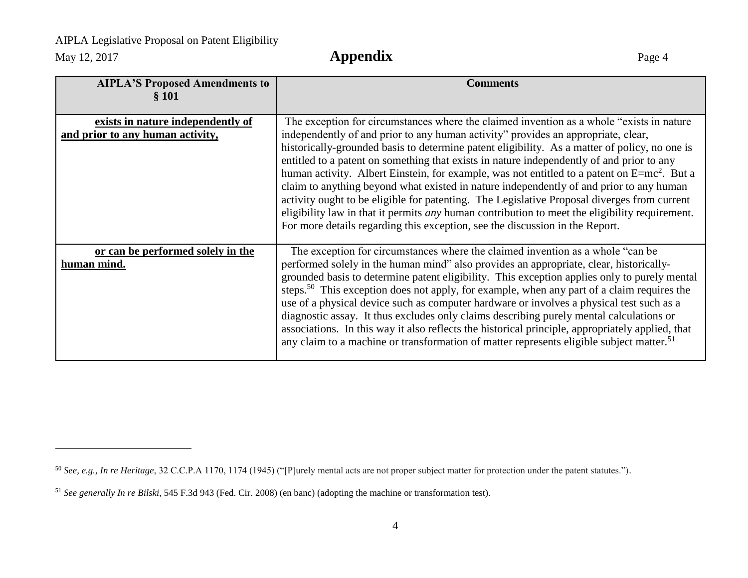$\overline{a}$ 

May 12, 2017 **Appendix** Page 4

| <b>AIPLA'S Proposed Amendments to</b><br>§ 101                        | <b>Comments</b>                                                                                                                                                                                                                                                                                                                                                                                                                                                                                                                                                                                                                                                                                                                                                                                                                                                   |
|-----------------------------------------------------------------------|-------------------------------------------------------------------------------------------------------------------------------------------------------------------------------------------------------------------------------------------------------------------------------------------------------------------------------------------------------------------------------------------------------------------------------------------------------------------------------------------------------------------------------------------------------------------------------------------------------------------------------------------------------------------------------------------------------------------------------------------------------------------------------------------------------------------------------------------------------------------|
| exists in nature independently of<br>and prior to any human activity, | The exception for circumstances where the claimed invention as a whole "exists in nature"<br>independently of and prior to any human activity" provides an appropriate, clear,<br>historically-grounded basis to determine patent eligibility. As a matter of policy, no one is<br>entitled to a patent on something that exists in nature independently of and prior to any<br>human activity. Albert Einstein, for example, was not entitled to a patent on $E=mc^2$ . But a<br>claim to anything beyond what existed in nature independently of and prior to any human<br>activity ought to be eligible for patenting. The Legislative Proposal diverges from current<br>eligibility law in that it permits <i>any</i> human contribution to meet the eligibility requirement.<br>For more details regarding this exception, see the discussion in the Report. |
| or can be performed solely in the<br>human mind.                      | The exception for circumstances where the claimed invention as a whole "can be"<br>performed solely in the human mind" also provides an appropriate, clear, historically-<br>grounded basis to determine patent eligibility. This exception applies only to purely mental<br>steps. <sup>50</sup> This exception does not apply, for example, when any part of a claim requires the<br>use of a physical device such as computer hardware or involves a physical test such as a<br>diagnostic assay. It thus excludes only claims describing purely mental calculations or<br>associations. In this way it also reflects the historical principle, appropriately applied, that<br>any claim to a machine or transformation of matter represents eligible subject matter. <sup>51</sup>                                                                            |

<sup>50</sup> *See, e.g.*, *In re Heritage*, 32 C.C.P.A 1170, 1174 (1945) ("[P]urely mental acts are not proper subject matter for protection under the patent statutes.").

<sup>51</sup> *See generally In re Bilski*, 545 F.3d 943 (Fed. Cir. 2008) (en banc) (adopting the machine or transformation test).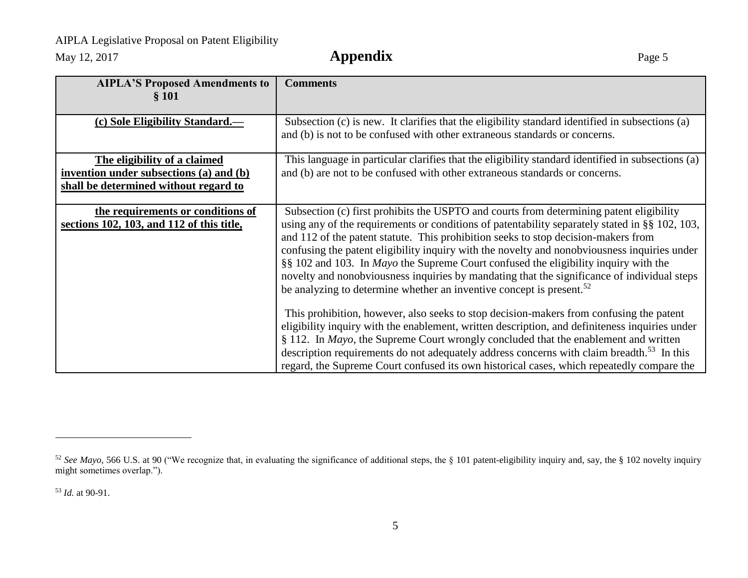## AIPLA Legislative Proposal on Patent Eligibility

May 12, 2017 **Appendix** Page 5

| <b>AIPLA'S Proposed Amendments to</b><br>§ 101 | <b>Comments</b>                                                                                                                                                               |
|------------------------------------------------|-------------------------------------------------------------------------------------------------------------------------------------------------------------------------------|
|                                                |                                                                                                                                                                               |
| (c) Sole Eligibility Standard.—                | Subsection (c) is new. It clarifies that the eligibility standard identified in subsections (a)<br>and (b) is not to be confused with other extraneous standards or concerns. |
| The eligibility of a claimed                   | This language in particular clarifies that the eligibility standard identified in subsections (a)                                                                             |
| invention under subsections (a) and (b)        | and (b) are not to be confused with other extraneous standards or concerns.                                                                                                   |
| shall be determined without regard to          |                                                                                                                                                                               |
| the requirements or conditions of              | Subsection (c) first prohibits the USPTO and courts from determining patent eligibility                                                                                       |
| sections 102, 103, and 112 of this title,      | using any of the requirements or conditions of patentability separately stated in §§ 102, 103,                                                                                |
|                                                | and 112 of the patent statute. This prohibition seeks to stop decision-makers from                                                                                            |
|                                                | confusing the patent eligibility inquiry with the novelty and nonobviousness inquiries under                                                                                  |
|                                                | §§ 102 and 103. In <i>Mayo</i> the Supreme Court confused the eligibility inquiry with the                                                                                    |
|                                                | novelty and nonobviousness inquiries by mandating that the significance of individual steps                                                                                   |
|                                                | be analyzing to determine whether an inventive concept is present. <sup>52</sup>                                                                                              |
|                                                | This prohibition, however, also seeks to stop decision-makers from confusing the patent                                                                                       |
|                                                | eligibility inquiry with the enablement, written description, and definiteness inquiries under                                                                                |
|                                                | $§$ 112. In <i>Mayo</i> , the Supreme Court wrongly concluded that the enablement and written                                                                                 |
|                                                | description requirements do not adequately address concerns with claim breadth. <sup>53</sup> In this                                                                         |
|                                                | regard, the Supreme Court confused its own historical cases, which repeatedly compare the                                                                                     |

<sup>&</sup>lt;sup>52</sup> See Mayo, 566 U.S. at 90 ("We recognize that, in evaluating the significance of additional steps, the § 101 patent-eligibility inquiry and, say, the § 102 novelty inquiry might sometimes overlap.").

<sup>53</sup> *Id.* at 90-91.